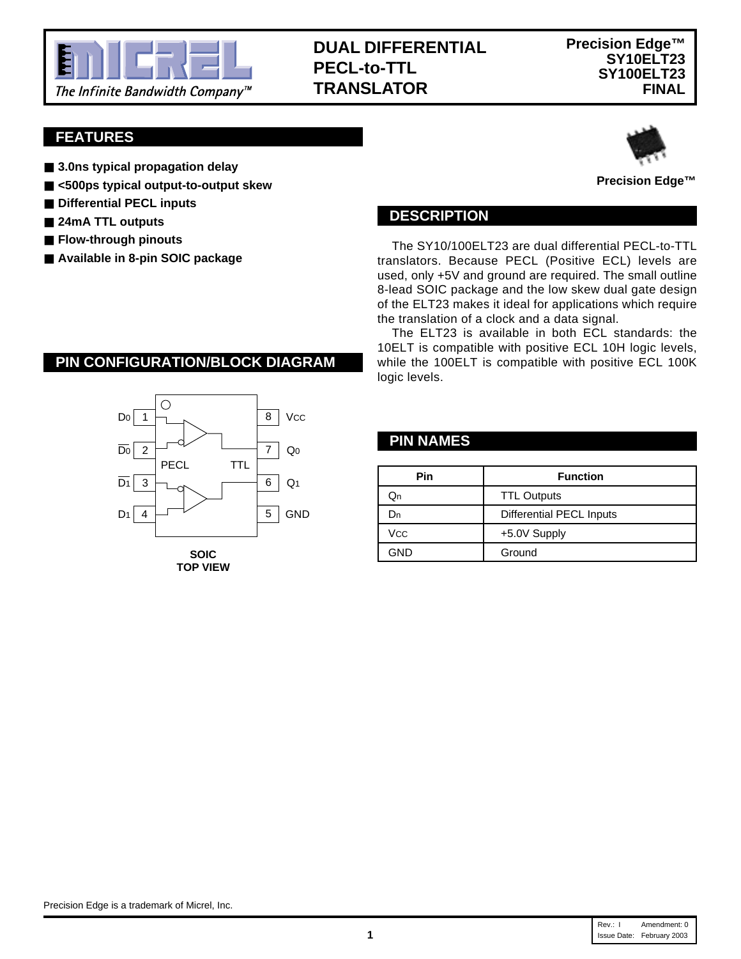

# **DUAL DIFFERENTIAL PECL-to-TTL TRANSLATOR**

## **FEATURES**

- **3.0ns typical propagation delay**
- **<500ps typical output-to-output skew**
- Differential PECL inputs
- 24mA TTL outputs
- **Flow-through pinouts**
- **Available in 8-pin SOIC package**



#### **Precision Edge™**

#### **DESCRIPTION**

The SY10/100ELT23 are dual differential PECL-to-TTL translators. Because PECL (Positive ECL) levels are used, only +5V and ground are required. The small outline 8-lead SOIC package and the low skew dual gate design of the ELT23 makes it ideal for applications which require the translation of a clock and a data signal.

The ELT23 is available in both ECL standards: the 10ELT is compatible with positive ECL 10H logic levels, while the 100ELT is compatible with positive ECL 100K logic levels.

#### **PIN NAMES**

| ╹╹╘           | Q1              | Pin        | <b>Function</b>          |
|---------------|-----------------|------------|--------------------------|
|               |                 | Qn         | <b>TTL Outputs</b>       |
|               | 5<br><b>GND</b> | Dn         | Differential PECL Inputs |
|               |                 | Vcc        | +5.0V Supply             |
| SOIC          |                 | <b>GND</b> | Ground                   |
| _ _ _ _ _ _ _ |                 |            |                          |

#### **PIN CONFIGURATION/BLOCK DIAGRAM**



**TOP VIEW**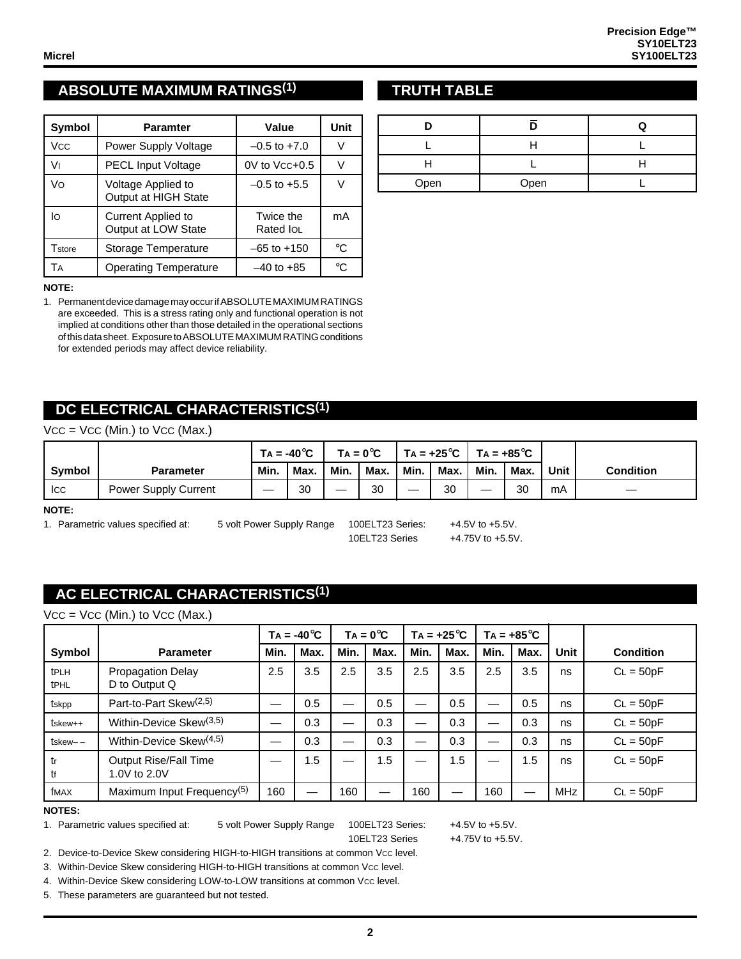# **ABSOLUTE MAXIMUM RATINGS(1) TRUTH TABLE**

| <b>Symbol</b> | <b>Paramter</b>                                  | Value                  | Unit         |
|---------------|--------------------------------------------------|------------------------|--------------|
| Vcc           | Power Supply Voltage                             | $-0.5$ to $+7.0$       | V            |
| V١            | <b>PECL Input Voltage</b>                        | $0V$ to $Vcc+0.5$      |              |
| Vo            | Voltage Applied to<br>Output at HIGH State       | $-0.5$ to $+5.5$       |              |
| lo            | <b>Current Applied to</b><br>Output at LOW State | Twice the<br>Rated IOL | mA           |
| Tstore        | Storage Temperature                              | –65 to +150            | °C           |
| TА            | <b>Operating Temperature</b>                     | $-40$ to $+85$         | $^{\circ}$ C |

#### **NOTE:**

1. Permanent device damage may occur if ABSOLUTE MAXIMUM RATINGS are exceeded. This is a stress rating only and functional operation is not implied at conditions other than those detailed in the operational sections of this data sheet. Exposure to ABSOLUTE MAXIMUM RATlNG conditions for extended periods may affect device reliability.

## **DC ELECTRICAL CHARACTERISTICS(1)**

| $Vcc = Vcc$ (Min.) to $Vcc$ (Max.) |  |  |  |  |
|------------------------------------|--|--|--|--|
|------------------------------------|--|--|--|--|

|        |                             |      | $Ta = -40^{\circ}C$ |      | $TA = 0^{\circ}C$ |      | $'$ TA = +25 $^{\circ}$ C |      | TA = +85 $^{\circ}$ C |      |                  |
|--------|-----------------------------|------|---------------------|------|-------------------|------|---------------------------|------|-----------------------|------|------------------|
| Symbol | <b>Parameter</b>            | Min. | Max.                | Min. | Max.              | Min. | Max.                      | Min. | Max.                  | Unit | <b>Condition</b> |
| Icc    | <b>Power Supply Current</b> |      | 30                  |      | 30                | —    | 30                        | __   | 30                    | mA   |                  |

**NOTE:**

1. Parametric values specified at: 5 volt Power Supply Range 100ELT23 Series: +4.5V to +5.5V.

10ELT23 Series +4.75V to +5.5V.

## **AC ELECTRICAL CHARACTERISTICS(1)**

| Vcc = Vcc (Min.) to Vcc (Max.) |  |  |  |
|--------------------------------|--|--|--|
|--------------------------------|--|--|--|

|                     |                                           |      | $TA = -40^{\circ}C$ |      | $TA = 0^{\circ}C$ | $TA = +25^{\circ}C$ |      | $TA = +85^{\circ}C$ |      |             |                  |
|---------------------|-------------------------------------------|------|---------------------|------|-------------------|---------------------|------|---------------------|------|-------------|------------------|
| Symbol              | <b>Parameter</b>                          | Min. | Max.                | Min. | Max.              | Min.                | Max. | Min.                | Max. | <b>Unit</b> | <b>Condition</b> |
| tPLH<br><b>tPHL</b> | <b>Propagation Delay</b><br>D to Output Q | 2.5  | 3.5                 | 2.5  | 3.5               | 2.5                 | 3.5  | 2.5                 | 3.5  | ns          | $CL = 50pF$      |
| tskpp               | Part-to-Part Skew <sup>(2,5)</sup>        |      | 0.5                 |      | 0.5               |                     | 0.5  |                     | 0.5  | ns          | $CL = 50pF$      |
| tskew++             | Within-Device Skew <sup>(3,5)</sup>       |      | 0.3                 |      | 0.3               |                     | 0.3  |                     | 0.3  | ns          | $CL = 50pF$      |
| $t$ skew $ -$       | Within-Device Skew <sup>(4,5)</sup>       |      | 0.3                 |      | 0.3               |                     | 0.3  |                     | 0.3  | ns          | $CL = 50pF$      |
| tr<br>tf            | Output Rise/Fall Time<br>1.0V to 2.0V     |      | 1.5                 |      | 1.5               |                     | 1.5  |                     | 1.5  | ns          | $CL = 50pF$      |
| fMAX                | Maximum Input Frequency <sup>(5)</sup>    | 160  |                     | 160  |                   | 160                 |      | 160                 |      | <b>MHz</b>  | $CL = 50pF$      |

#### **NOTES:**

1. Parametric values specified at: 5 volt Power Supply Range 100ELT23 Series: +4.5V to +5.5V.

10ELT23 Series +4.75V to +5.5V.

2. Device-to-Device Skew considering HIGH-to-HIGH transitions at common Vcc level.

3. Within-Device Skew considering HIGH-to-HIGH transitions at common Vcc level.

4. Within-Device Skew considering LOW-to-LOW transitions at common Vcc level.

5. These parameters are guaranteed but not tested.

| Open | Open |  |
|------|------|--|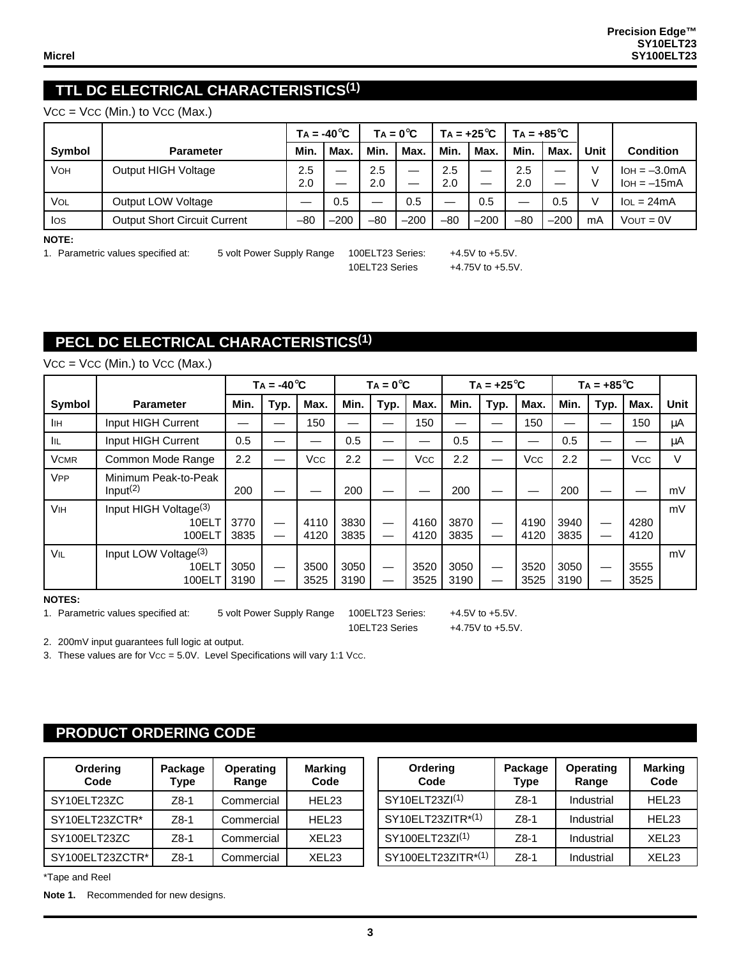## **TTL DC ELECTRICAL CHARACTERISTICS(1)**

 $VCC = VCC$  (Min.) to  $VCC$  (Max.)

|        |                                     |            | $TA = -40^{\circ}C$ |            | $TA = 0^{\circ}C$ |            | $TA = +25^{\circ}C$ | $TA = +85^{\circ}C$ |        |      |                                 |
|--------|-------------------------------------|------------|---------------------|------------|-------------------|------------|---------------------|---------------------|--------|------|---------------------------------|
| Symbol | <b>Parameter</b>                    | Min.       | Max.                | Min.       | Max.              | Min.       | Max.                | Min.                | Max.   | Unit | <b>Condition</b>                |
| VOH    | Output HIGH Voltage                 | 2.5<br>2.0 | –<br>—              | 2.5<br>2.0 | –<br>—            | 2.5<br>2.0 | –<br>–              | 2.5<br>2.0          |        |      | $IOH = -3.0mA$<br>$IOH = -15mA$ |
| Vol    | Output LOW Voltage                  |            | 0.5                 |            | 0.5               | —          | 0.5                 |                     | 0.5    |      | $IOL = 24mA$                    |
| los    | <b>Output Short Circuit Current</b> | $-80$      | $-200$              | $-80$      | $-200$            | $-80$      | $-200$              | $-80$               | $-200$ | mA   | $V$ OUT = $0V$                  |

**NOTE:**

1. Parametric values specified at: 5 volt Power Supply Range 100ELT23 Series: +4.5V to +5.5V.

10ELT23 Series +4.75V to +5.5V.

# **PECL DC ELECTRICAL CHARACTERISTICS(1)**

|                       |                                                      |              | $TA = -40^{\circ}C$ |              |              | $TA = 0^{\circ}C$ |              |              | $TA = +25^{\circ}C$ |              |              | $TA = +85^{\circ}C$ |              |             |
|-----------------------|------------------------------------------------------|--------------|---------------------|--------------|--------------|-------------------|--------------|--------------|---------------------|--------------|--------------|---------------------|--------------|-------------|
| Symbol                | <b>Parameter</b>                                     | Min.         | Typ.                | Max.         | Min.         | Typ.              | Max.         | Min.         | Typ.                | Max.         | Min.         | Typ.                | Max.         | <b>Unit</b> |
| IІн                   | Input HIGH Current                                   |              |                     | 150          |              |                   | 150          |              |                     | 150          |              |                     | 150          | μA          |
| <b>IIL</b>            | Input HIGH Current                                   | 0.5          |                     |              | 0.5          |                   |              | 0.5          |                     |              | 0.5          |                     |              | μA          |
| <b>VCMR</b>           | Common Mode Range                                    | 2.2          |                     | Vcc          | 2.2          |                   | Vcc          | 2.2          | —                   | <b>Vcc</b>   | 2.2          | —                   | Vcc          | V           |
| <b>V<sub>PP</sub></b> | Minimum Peak-to-Peak<br>Input <sup>(2)</sup>         | 200          |                     |              | 200          |                   |              | 200          |                     |              | 200          |                     |              | mV          |
| <b>V<sub>IH</sub></b> | Input HIGH Voltage <sup>(3)</sup><br>10ELT<br>100ELT | 3770<br>3835 |                     | 4110<br>4120 | 3830<br>3835 |                   | 4160<br>4120 | 3870<br>3835 | —                   | 4190<br>4120 | 3940<br>3835 | —<br>—              | 4280<br>4120 | mV          |
| VIL                   | Input LOW Voltage <sup>(3)</sup><br>10ELT<br>100ELT  | 3050<br>3190 |                     | 3500<br>3525 | 3050<br>3190 |                   | 3520<br>3525 | 3050<br>3190 | —                   | 3520<br>3525 | 3050<br>3190 | —                   | 3555<br>3525 | mV          |

 $VCC = VCC$  (Min.) to  $VCC$  (Max.)

**NOTES:**

1. Parametric values specified at: 5 volt Power Supply Range 100ELT23 Series: +4.5V to +5.5V.

10ELT23 Series +4.75V to +5.5V.

2. 200mV input guarantees full logic at output.

3. These values are for Vcc = 5.0V. Level Specifications will vary 1:1 Vcc.

# **PRODUCT ORDERING CODE**

| Ordering<br>Code | Package<br><b>Type</b> | <b>Operating</b><br>Range | <b>Marking</b><br>Code |
|------------------|------------------------|---------------------------|------------------------|
| SY10ELT23ZC      | $Z8-1$                 | Commercial                | HEL <sub>23</sub>      |
| SY10ELT23ZCTR*   | $Z8-1$                 | Commercial                | HEL <sub>23</sub>      |
| SY100ELT23ZC     | $Z8-1$                 | Commercial                | XEL <sub>23</sub>      |
| SY100ELT23ZCTR*  | $Z8-1$                 | Commercial                | <b>XFL23</b>           |

| Ordering<br>Code   | Package<br><b>Type</b> | <b>Operating</b><br>Range | <b>Marking</b><br>Code |
|--------------------|------------------------|---------------------------|------------------------|
| SY10ELT23ZI(1)     | $Z8-1$                 | Industrial                | HEL <sub>23</sub>      |
| SY10ELT23ZITR*(1)  | $Z8-1$                 | Industrial                | HEL <sub>23</sub>      |
| SY100ELT23ZI(1)    | $Z8-1$                 | Industrial                | XEL <sub>23</sub>      |
| SY100ELT23ZITR*(1) | <b>78-1</b>            | Industrial                | XEL <sub>23</sub>      |

\*Tape and Reel

**Note 1.** Recommended for new designs.